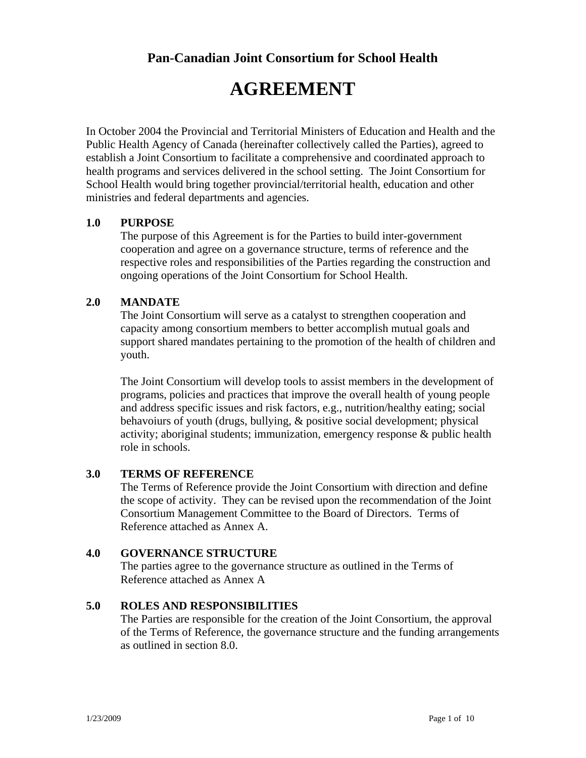**Pan-Canadian Joint Consortium for School Health** 

# **AGREEMENT**

In October 2004 the Provincial and Territorial Ministers of Education and Health and the Public Health Agency of Canada (hereinafter collectively called the Parties), agreed to establish a Joint Consortium to facilitate a comprehensive and coordinated approach to health programs and services delivered in the school setting. The Joint Consortium for School Health would bring together provincial/territorial health, education and other ministries and federal departments and agencies.

## **1.0 PURPOSE**

The purpose of this Agreement is for the Parties to build inter-government cooperation and agree on a governance structure, terms of reference and the respective roles and responsibilities of the Parties regarding the construction and ongoing operations of the Joint Consortium for School Health.

## **2.0 MANDATE**

The Joint Consortium will serve as a catalyst to strengthen cooperation and capacity among consortium members to better accomplish mutual goals and support shared mandates pertaining to the promotion of the health of children and youth.

The Joint Consortium will develop tools to assist members in the development of programs, policies and practices that improve the overall health of young people and address specific issues and risk factors, e.g., nutrition/healthy eating; social behavoiurs of youth (drugs, bullying, & positive social development; physical activity; aboriginal students; immunization, emergency response & public health role in schools.

## **3.0 TERMS OF REFERENCE**

The Terms of Reference provide the Joint Consortium with direction and define the scope of activity. They can be revised upon the recommendation of the Joint Consortium Management Committee to the Board of Directors. Terms of Reference attached as Annex A.

## **4.0 GOVERNANCE STRUCTURE**

The parties agree to the governance structure as outlined in the Terms of Reference attached as Annex A

#### **5.0 ROLES AND RESPONSIBILITIES**

The Parties are responsible for the creation of the Joint Consortium, the approval of the Terms of Reference, the governance structure and the funding arrangements as outlined in section 8.0.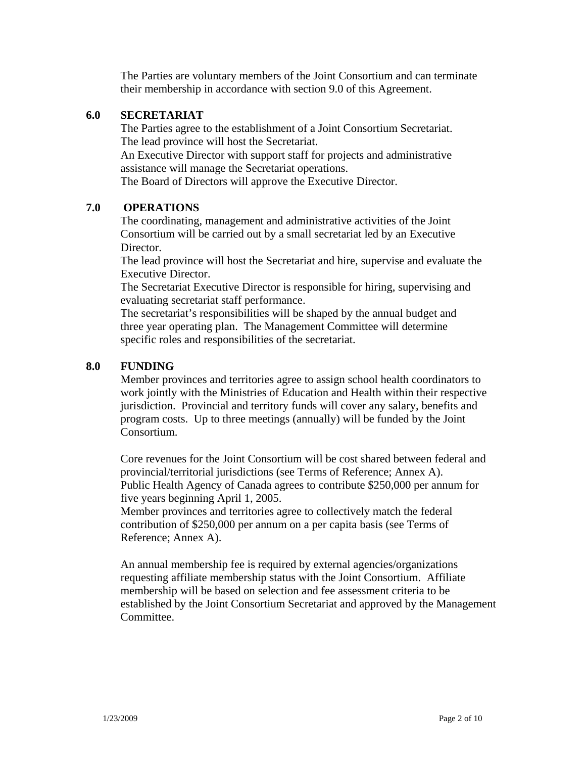The Parties are voluntary members of the Joint Consortium and can terminate their membership in accordance with section 9.0 of this Agreement.

## **6.0 SECRETARIAT**

The Parties agree to the establishment of a Joint Consortium Secretariat. The lead province will host the Secretariat.

An Executive Director with support staff for projects and administrative assistance will manage the Secretariat operations.

The Board of Directors will approve the Executive Director.

## **7.0 OPERATIONS**

The coordinating, management and administrative activities of the Joint Consortium will be carried out by a small secretariat led by an Executive Director.

The lead province will host the Secretariat and hire, supervise and evaluate the Executive Director.

The Secretariat Executive Director is responsible for hiring, supervising and evaluating secretariat staff performance.

The secretariat's responsibilities will be shaped by the annual budget and three year operating plan. The Management Committee will determine specific roles and responsibilities of the secretariat.

#### **8.0 FUNDING**

Member provinces and territories agree to assign school health coordinators to work jointly with the Ministries of Education and Health within their respective jurisdiction. Provincial and territory funds will cover any salary, benefits and program costs. Up to three meetings (annually) will be funded by the Joint Consortium.

Core revenues for the Joint Consortium will be cost shared between federal and provincial/territorial jurisdictions (see Terms of Reference; Annex A). Public Health Agency of Canada agrees to contribute \$250,000 per annum for five years beginning April 1, 2005.

Member provinces and territories agree to collectively match the federal contribution of \$250,000 per annum on a per capita basis (see Terms of Reference; Annex A).

An annual membership fee is required by external agencies/organizations requesting affiliate membership status with the Joint Consortium. Affiliate membership will be based on selection and fee assessment criteria to be established by the Joint Consortium Secretariat and approved by the Management Committee.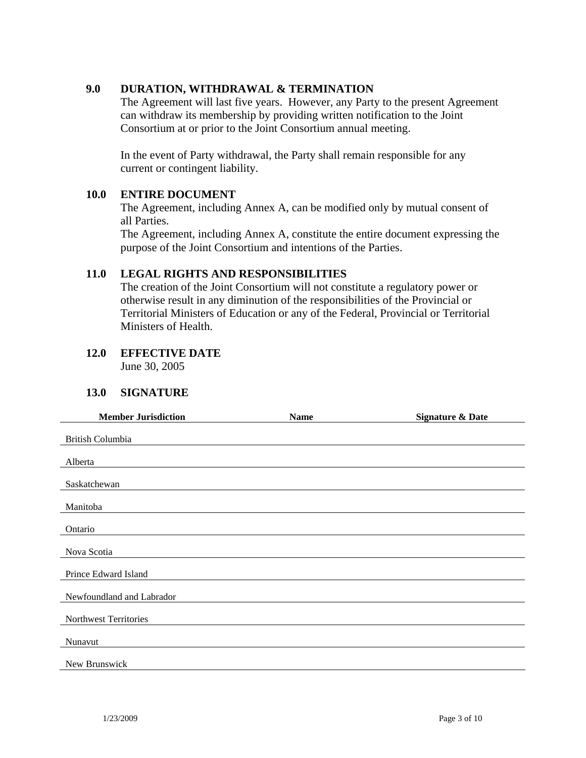## **9.0 DURATION, WITHDRAWAL & TERMINATION**

The Agreement will last five years. However, any Party to the present Agreement can withdraw its membership by providing written notification to the Joint Consortium at or prior to the Joint Consortium annual meeting.

In the event of Party withdrawal, the Party shall remain responsible for any current or contingent liability.

#### **10.0 ENTIRE DOCUMENT**

The Agreement, including Annex A, can be modified only by mutual consent of all Parties.

The Agreement, including Annex A, constitute the entire document expressing the purpose of the Joint Consortium and intentions of the Parties.

#### **11.0 LEGAL RIGHTS AND RESPONSIBILITIES**

The creation of the Joint Consortium will not constitute a regulatory power or otherwise result in any diminution of the responsibilities of the Provincial or Territorial Ministers of Education or any of the Federal, Provincial or Territorial Ministers of Health.

# **12.0 EFFECTIVE DATE**

June 30, 2005

#### **13.0 SIGNATURE**

| <b>Member Jurisdiction</b> | <b>Name</b> | <b>Signature &amp; Date</b> |
|----------------------------|-------------|-----------------------------|
| British Columbia           |             |                             |
|                            |             |                             |
| Alberta                    |             |                             |
| Saskatchewan               |             |                             |
| Manitoba                   |             |                             |
|                            |             |                             |
| Ontario                    |             |                             |
| Nova Scotia                |             |                             |
| Prince Edward Island       |             |                             |
| Newfoundland and Labrador  |             |                             |
| Northwest Territories      |             |                             |
| Nunavut                    |             |                             |
| New Brunswick              |             |                             |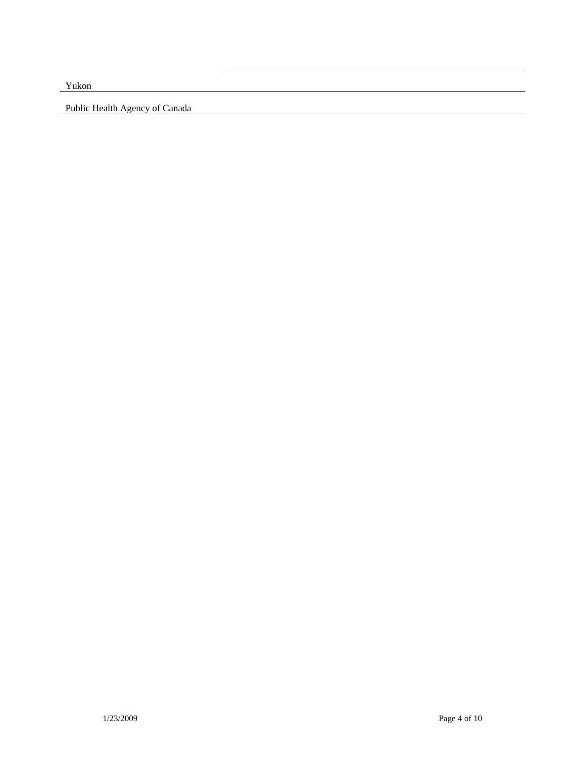Yukon

Public Health Agency of Canada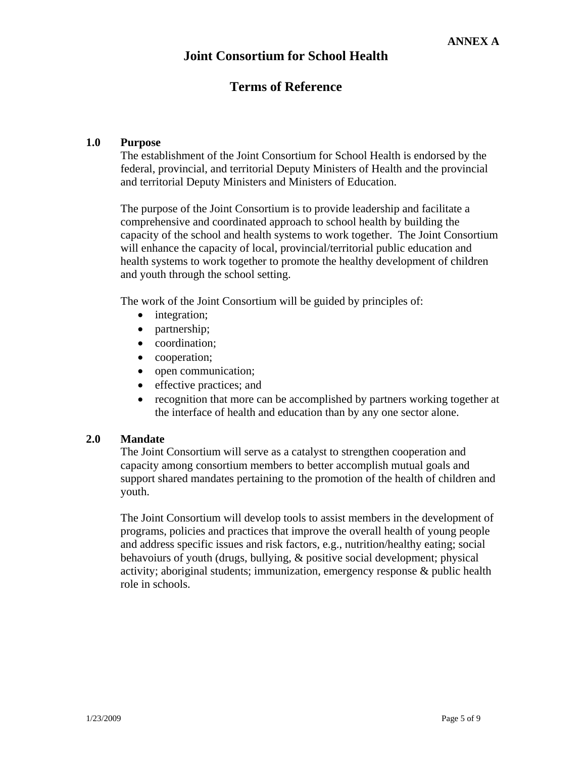# **Terms of Reference**

## **1.0 Purpose**

The establishment of the Joint Consortium for School Health is endorsed by the federal, provincial, and territorial Deputy Ministers of Health and the provincial and territorial Deputy Ministers and Ministers of Education.

The purpose of the Joint Consortium is to provide leadership and facilitate a comprehensive and coordinated approach to school health by building the capacity of the school and health systems to work together. The Joint Consortium will enhance the capacity of local, provincial/territorial public education and health systems to work together to promote the healthy development of children and youth through the school setting.

The work of the Joint Consortium will be guided by principles of:

- integration;
- partnership;
- coordination;
- cooperation;
- open communication;
- effective practices; and
- recognition that more can be accomplished by partners working together at the interface of health and education than by any one sector alone.

## **2.0 Mandate**

The Joint Consortium will serve as a catalyst to strengthen cooperation and capacity among consortium members to better accomplish mutual goals and support shared mandates pertaining to the promotion of the health of children and youth.

The Joint Consortium will develop tools to assist members in the development of programs, policies and practices that improve the overall health of young people and address specific issues and risk factors, e.g., nutrition/healthy eating; social behavoiurs of youth (drugs, bullying, & positive social development; physical activity; aboriginal students; immunization, emergency response & public health role in schools.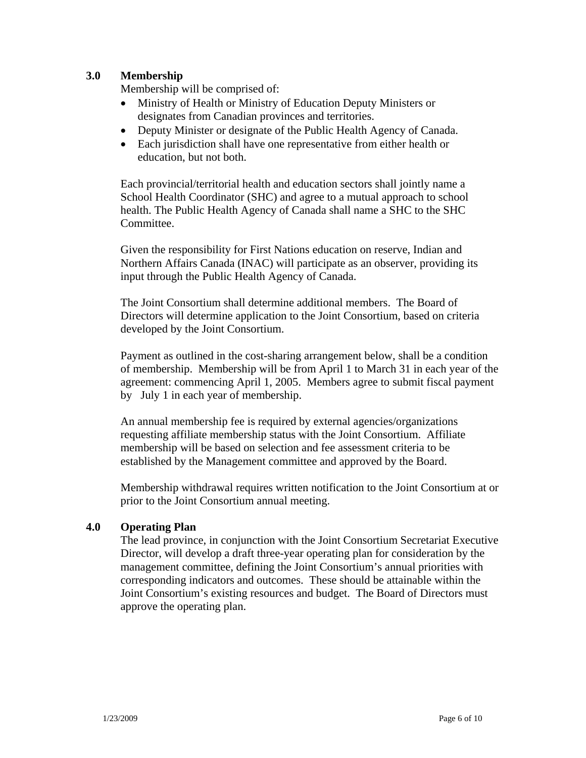## **3.0 Membership**

Membership will be comprised of:

- Ministry of Health or Ministry of Education Deputy Ministers or designates from Canadian provinces and territories.
- Deputy Minister or designate of the Public Health Agency of Canada.
- Each jurisdiction shall have one representative from either health or education, but not both.

Each provincial/territorial health and education sectors shall jointly name a School Health Coordinator (SHC) and agree to a mutual approach to school health. The Public Health Agency of Canada shall name a SHC to the SHC Committee.

Given the responsibility for First Nations education on reserve, Indian and Northern Affairs Canada (INAC) will participate as an observer, providing its input through the Public Health Agency of Canada.

The Joint Consortium shall determine additional members. The Board of Directors will determine application to the Joint Consortium, based on criteria developed by the Joint Consortium.

Payment as outlined in the cost-sharing arrangement below, shall be a condition of membership. Membership will be from April 1 to March 31 in each year of the agreement: commencing April 1, 2005. Members agree to submit fiscal payment by July 1 in each year of membership.

An annual membership fee is required by external agencies/organizations requesting affiliate membership status with the Joint Consortium. Affiliate membership will be based on selection and fee assessment criteria to be established by the Management committee and approved by the Board.

Membership withdrawal requires written notification to the Joint Consortium at or prior to the Joint Consortium annual meeting.

## **4.0 Operating Plan**

The lead province, in conjunction with the Joint Consortium Secretariat Executive Director, will develop a draft three-year operating plan for consideration by the management committee, defining the Joint Consortium's annual priorities with corresponding indicators and outcomes. These should be attainable within the Joint Consortium's existing resources and budget. The Board of Directors must approve the operating plan.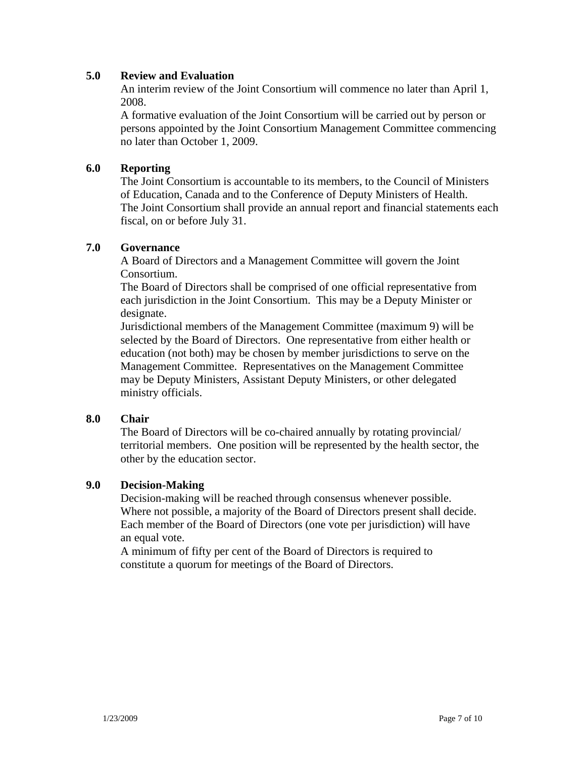## **5.0 Review and Evaluation**

An interim review of the Joint Consortium will commence no later than April 1, 2008.

A formative evaluation of the Joint Consortium will be carried out by person or persons appointed by the Joint Consortium Management Committee commencing no later than October 1, 2009.

## **6.0 Reporting**

The Joint Consortium is accountable to its members, to the Council of Ministers of Education, Canada and to the Conference of Deputy Ministers of Health. The Joint Consortium shall provide an annual report and financial statements each fiscal, on or before July 31.

#### **7.0 Governance**

A Board of Directors and a Management Committee will govern the Joint Consortium.

The Board of Directors shall be comprised of one official representative from each jurisdiction in the Joint Consortium. This may be a Deputy Minister or designate.

Jurisdictional members of the Management Committee (maximum 9) will be selected by the Board of Directors. One representative from either health or education (not both) may be chosen by member jurisdictions to serve on the Management Committee. Representatives on the Management Committee may be Deputy Ministers, Assistant Deputy Ministers, or other delegated ministry officials.

#### **8.0 Chair**

The Board of Directors will be co-chaired annually by rotating provincial/ territorial members. One position will be represented by the health sector, the other by the education sector.

#### **9.0 Decision-Making**

Decision-making will be reached through consensus whenever possible. Where not possible, a majority of the Board of Directors present shall decide. Each member of the Board of Directors (one vote per jurisdiction) will have an equal vote.

A minimum of fifty per cent of the Board of Directors is required to constitute a quorum for meetings of the Board of Directors.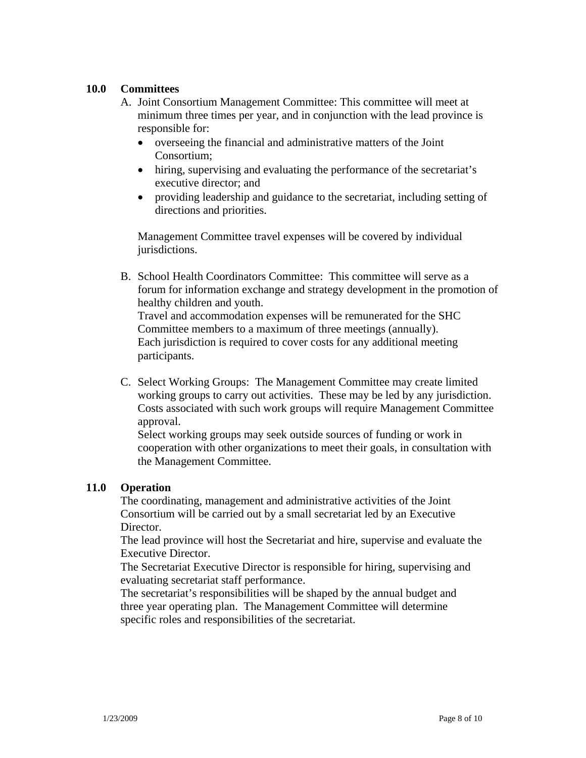## **10.0 Committees**

- A. Joint Consortium Management Committee: This committee will meet at minimum three times per year, and in conjunction with the lead province is responsible for:
	- overseeing the financial and administrative matters of the Joint Consortium;
	- hiring, supervising and evaluating the performance of the secretariat's executive director; and
	- providing leadership and guidance to the secretariat, including setting of directions and priorities.

Management Committee travel expenses will be covered by individual jurisdictions.

B. School Health Coordinators Committee: This committee will serve as a forum for information exchange and strategy development in the promotion of healthy children and youth. Travel and accommodation expenses will be remunerated for the SHC Committee members to a maximum of three meetings (annually). Each jurisdiction is required to cover costs for any additional meeting

participants.

C. Select Working Groups: The Management Committee may create limited working groups to carry out activities. These may be led by any jurisdiction. Costs associated with such work groups will require Management Committee approval.

Select working groups may seek outside sources of funding or work in cooperation with other organizations to meet their goals, in consultation with the Management Committee.

## **11.0 Operation**

The coordinating, management and administrative activities of the Joint Consortium will be carried out by a small secretariat led by an Executive Director.

The lead province will host the Secretariat and hire, supervise and evaluate the Executive Director.

The Secretariat Executive Director is responsible for hiring, supervising and evaluating secretariat staff performance.

The secretariat's responsibilities will be shaped by the annual budget and three year operating plan. The Management Committee will determine specific roles and responsibilities of the secretariat.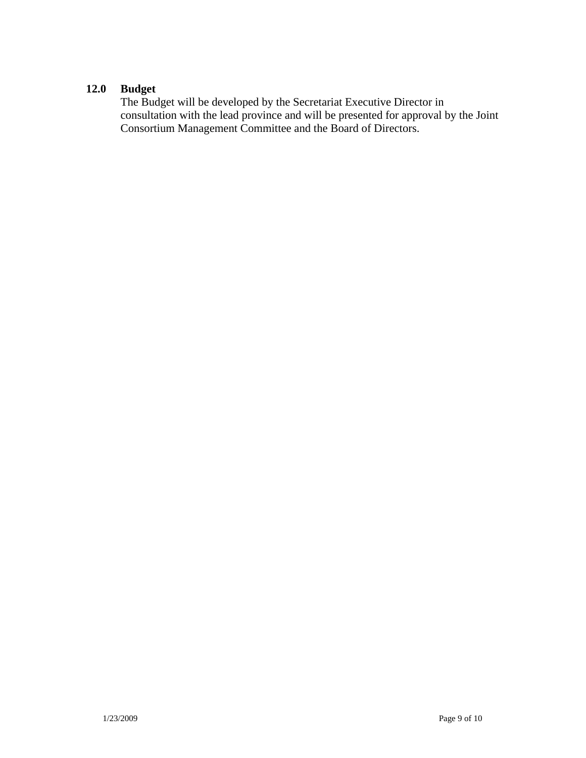## **12.0 Budget**

The Budget will be developed by the Secretariat Executive Director in consultation with the lead province and will be presented for approval by the Joint Consortium Management Committee and the Board of Directors.